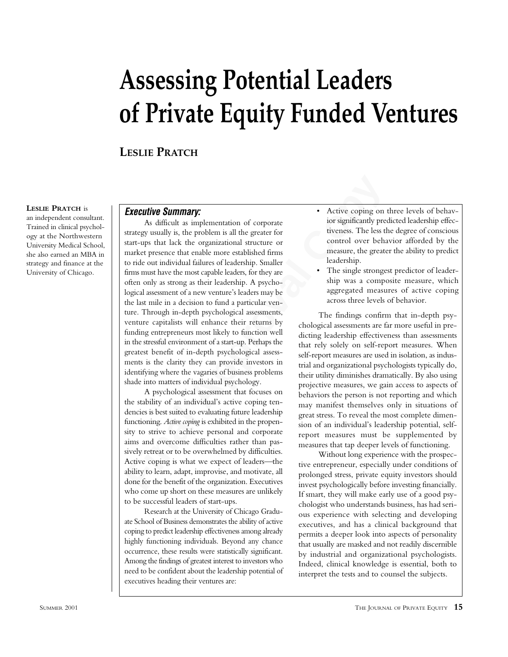# **Assessing Potential Leaders of Private Equity Funded Ventures**

# **LESLIE PRATCH**

#### **LESLIE PRATCH** is

an independent consultant. Trained in clinical psychology at the Northwestern University Medical School, she also earned an MBA in strategy and finance at the University of Chicago.

#### *Executive Summary:*

**Final Approval Copy** As difficult as implementation of corporate strategy usually is, the problem is all the greater for start-ups that lack the organizational structure or market presence that enable more established firms to ride out individual failures of leadership. Smaller firms must have the most capable leaders, for they are often only as strong as their leadership. A psychological assessment of a new venture's leaders may be the last mile in a decision to fund a particular venture. Through in-depth psychological assessments, venture capitalists will enhance their returns by funding entrepreneurs most likely to function well in the stressful environment of a start-up. Perhaps the greatest benefit of in-depth psychological assessments is the clarity they can provide investors in identifying where the vagaries of business problems shade into matters of individual psychology.

A psychological assessment that focuses on the stability of an individual's active coping tendencies is best suited to evaluating future leadership functioning. *Active coping* is exhibited in the propensity to strive to achieve personal and corporate aims and overcome difficulties rather than passively retreat or to be overwhelmed by difficulties. Active coping is what we expect of leaders—the ability to learn, adapt, improvise, and motivate, all done for the benefit of the organization. Executives who come up short on these measures are unlikely to be successful leaders of start-ups.

Research at the University of Chicago Graduate School of Business demonstrates the ability of active coping to predict leadership effectiveness among already highly functioning individuals. Beyond any chance occurrence, these results were statistically significant. Among the findings of greatest interest to investors who need to be confident about the leadership potential of executives heading their ventures are:

- Active coping on three levels of behavior significantly predicted leadership effectiveness. The less the degree of conscious control over behavior afforded by the measure, the greater the ability to predict leadership.
- The single strongest predictor of leadership was a composite measure, which aggregated measures of active coping across three levels of behavior.

The findings confirm that in-depth psychological assessments are far more useful in predicting leadership effectiveness than assessments that rely solely on self-report measures. When self-report measures are used in isolation, as industrial and organizational psychologists typically do, their utility diminishes dramatically. By also using projective measures, we gain access to aspects of behaviors the person is not reporting and which may manifest themselves only in situations of great stress. To reveal the most complete dimension of an individual's leadership potential, selfreport measures must be supplemented by measures that tap deeper levels of functioning.

Without long experience with the prospective entrepreneur, especially under conditions of prolonged stress, private equity investors should invest psychologically before investing financially. If smart, they will make early use of a good psychologist who understands business, has had serious experience with selecting and developing executives, and has a clinical background that permits a deeper look into aspects of personality that usually are masked and not readily discernible by industrial and organizational psychologists. Indeed, clinical knowledge is essential, both to interpret the tests and to counsel the subjects.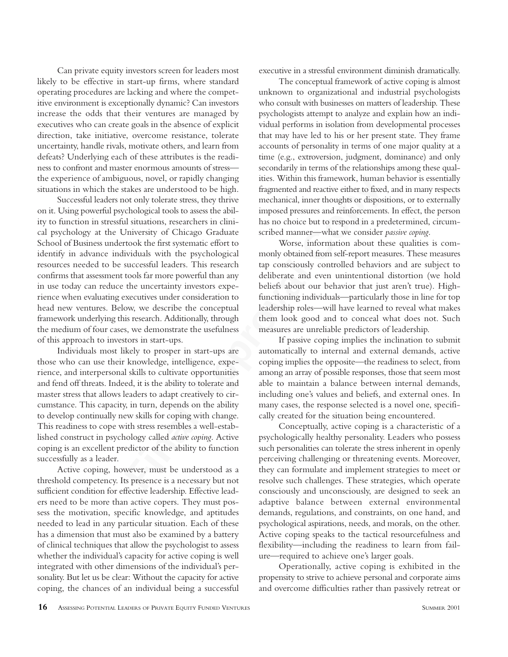Can private equity investors screen for leaders most likely to be effective in start-up firms, where standard operating procedures are lacking and where the competitive environment is exceptionally dynamic? Can investors increase the odds that their ventures are managed by executives who can create goals in the absence of explicit direction, take initiative, overcome resistance, tolerate uncertainty, handle rivals, motivate others, and learn from defeats? Underlying each of these attributes is the readiness to confront and master enormous amounts of stress the experience of ambiguous, novel, or rapidly changing situations in which the stakes are understood to be high.

uous, novel, or rapidly changing ities. Within this framework, human backes are understood to be high. fragmented and reactive either to fixed, fragmentical active either to fixed, high incurring has no choice but or respo Successful leaders not only tolerate stress, they thrive on it. Using powerful psychological tools to assess the ability to function in stressful situations, researchers in clinical psychology at the University of Chicago Graduate School of Business undertook the first systematic effort to identify in advance individuals with the psychological resources needed to be successful leaders. This research confirms that assessment tools far more powerful than any in use today can reduce the uncertainty investors experience when evaluating executives under consideration to head new ventures. Below, we describe the conceptual framework underlying this research. Additionally, through the medium of four cases, we demonstrate the usefulness of this approach to investors in start-ups.

Individuals most likely to prosper in start-ups are those who can use their knowledge, intelligence, experience, and interpersonal skills to cultivate opportunities and fend off threats. Indeed, it is the ability to tolerate and master stress that allows leaders to adapt creatively to circumstance. This capacity, in turn, depends on the ability to develop continually new skills for coping with change. This readiness to cope with stress resembles a well-established construct in psychology called *active coping*. Active coping is an excellent predictor of the ability to function successfully as a leader.

Active coping, however, must be understood as a threshold competency. Its presence is a necessary but not sufficient condition for effective leadership. Effective leaders need to be more than active copers. They must possess the motivation, specific knowledge, and aptitudes needed to lead in any particular situation. Each of these has a dimension that must also be examined by a battery of clinical techniques that allow the psychologist to assess whether the individual's capacity for active coping is well integrated with other dimensions of the individual's personality. But let us be clear: Without the capacity for active coping, the chances of an individual being a successful executive in a stressful environment diminish dramatically.

The conceptual framework of active coping is almost unknown to organizational and industrial psychologists who consult with businesses on matters of leadership. These psychologists attempt to analyze and explain how an individual performs in isolation from developmental processes that may have led to his or her present state. They frame accounts of personality in terms of one major quality at a time (e.g., extroversion, judgment, dominance) and only secondarily in terms of the relationships among these qualities. Within this framework, human behavior is essentially fragmented and reactive either to fixed, and in many respects mechanical, inner thoughts or dispositions, or to externally imposed pressures and reinforcements. In effect, the person has no choice but to respond in a predetermined, circumscribed manner—what we consider *passive coping*.

Worse, information about these qualities is commonly obtained from self-report measures. These measures tap consciously controlled behaviors and are subject to deliberate and even unintentional distortion (we hold beliefs about our behavior that just aren't true). Highfunctioning individuals—particularly those in line for top leadership roles—will have learned to reveal what makes them look good and to conceal what does not. Such measures are unreliable predictors of leadership.

If passive coping implies the inclination to submit automatically to internal and external demands, active coping implies the opposite—the readiness to select, from among an array of possible responses, those that seem most able to maintain a balance between internal demands, including one's values and beliefs, and external ones. In many cases, the response selected is a novel one, specifically created for the situation being encountered.

Conceptually, active coping is a characteristic of a psychologically healthy personality. Leaders who possess such personalities can tolerate the stress inherent in openly perceiving challenging or threatening events. Moreover, they can formulate and implement strategies to meet or resolve such challenges. These strategies, which operate consciously and unconsciously, are designed to seek an adaptive balance between external environmental demands, regulations, and constraints, on one hand, and psychological aspirations, needs, and morals, on the other. Active coping speaks to the tactical resourcefulness and flexibility—including the readiness to learn from failure—required to achieve one's larger goals.

Operationally, active coping is exhibited in the propensity to strive to achieve personal and corporate aims and overcome difficulties rather than passively retreat or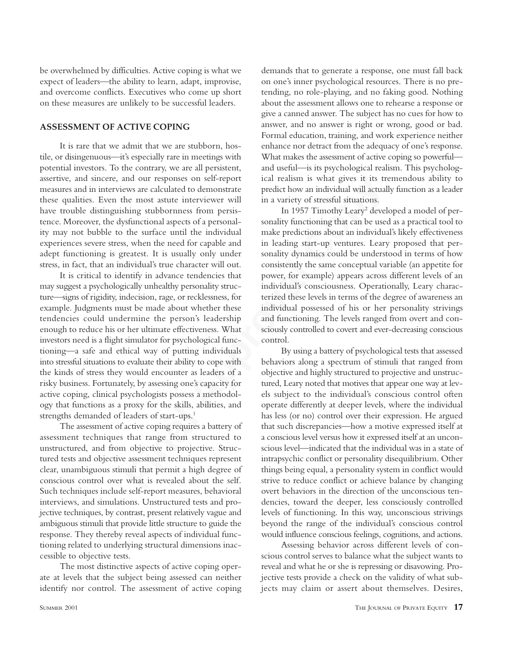be overwhelmed by difficulties. Active coping is what we expect of leaders—the ability to learn, adapt, improvise, and overcome conflicts. Executives who come up short on these measures are unlikely to be successful leaders.

#### **ASSESSMENT OF ACTIVE COPING**

It is rare that we admit that we are stubborn, hostile, or disingenuous—it's especially rare in meetings with potential investors. To the contrary, we are all persistent, assertive, and sincere, and our responses on self-report measures and in interviews are calculated to demonstrate these qualities. Even the most astute interviewer will have trouble distinguishing stubbornness from persistence. Moreover, the dysfunctional aspects of a personality may not bubble to the surface until the individual experiences severe stress, when the need for capable and adept functioning is greatest. It is usually only under stress, in fact, that an individual's true character will out.

It is critical to identify in advance tendencies that may suggest a psychologically unhealthy personality structure—signs of rigidity, indecision, rage, or recklessness, for example. Judgments must be made about whether these tendencies could undermine the person's leadership enough to reduce his or her ultimate effectiveness. What investors need is a flight simulator for psychological functioning—a safe and ethical way of putting individuals into stressful situations to evaluate their ability to cope with the kinds of stress they would encounter as leaders of a risky business. Fortunately, by assessing one's capacity for active coping, clinical psychologists possess a methodology that functions as a proxy for the skills, abilities, and strengths demanded of leaders of start-ups.<sup>1</sup>

The assessment of active coping requires a battery of assessment techniques that range from structured to unstructured, and from objective to projective. Structured tests and objective assessment techniques represent clear, unambiguous stimuli that permit a high degree of conscious control over what is revealed about the self. Such techniques include self-report measures, behavioral interviews, and simulations. Unstructured tests and projective techniques, by contrast, present relatively vague and ambiguous stimuli that provide little structure to guide the response. They thereby reveal aspects of individual functioning related to underlying structural dimensions inaccessible to objective tests.

The most distinctive aspects of active coping operate at levels that the subject being assessed can neither identify nor control. The assessment of active coping demands that to generate a response, one must fall back on one's inner psychological resources. There is no pretending, no role-playing, and no faking good. Nothing about the assessment allows one to rehearse a response or give a canned answer. The subject has no cues for how to answer, and no answer is right or wrong, good or bad. Formal education, training, and work experience neither enhance nor detract from the adequacy of one's response. What makes the assessment of active coping so powerful and useful—is its psychological realism. This psychological realism is what gives it its tremendous ability to predict how an individual will actually function as a leader in a variety of stressful situations.

In 1957 Timothy Leary2 developed a model of personality functioning that can be used as a practical tool to make predictions about an individual's likely effectiveness in leading start-up ventures. Leary proposed that personality dynamics could be understood in terms of how consistently the same conceptual variable (an appetite for power, for example) appears across different levels of an individual's consciousness. Operationally, Leary characterized these levels in terms of the degree of awareness an individual possessed of his or her personality strivings and functioning. The levels ranged from overt and consciously controlled to covert and ever-decreasing conscious control.

md our responses on self-report<br>
ical realism is what gives it its tre<br>
we are calculated to demonstrate predict how an individual will actual<br>
the most astute interviewer will in a variety of stressful situations.<br>
hing s By using a battery of psychological tests that assessed behaviors along a spectrum of stimuli that ranged from objective and highly structured to projective and unstructured, Leary noted that motives that appear one way at levels subject to the individual's conscious control often operate differently at deeper levels, where the individual has less (or no) control over their expression. He argued that such discrepancies—how a motive expressed itself at a conscious level versus how it expressed itself at an unconscious level—indicated that the individual was in a state of intrapsychic conflict or personality disequilibrium. Other things being equal, a personality system in conflict would strive to reduce conflict or achieve balance by changing overt behaviors in the direction of the unconscious tendencies, toward the deeper, less consciously controlled levels of functioning. In this way, unconscious strivings beyond the range of the individual's conscious control would influence conscious feelings, cognitions, and actions.

> Assessing behavior across different levels of conscious control serves to balance what the subject wants to reveal and what he or she is repressing or disavowing. Projective tests provide a check on the validity of what subjects may claim or assert about themselves. Desires,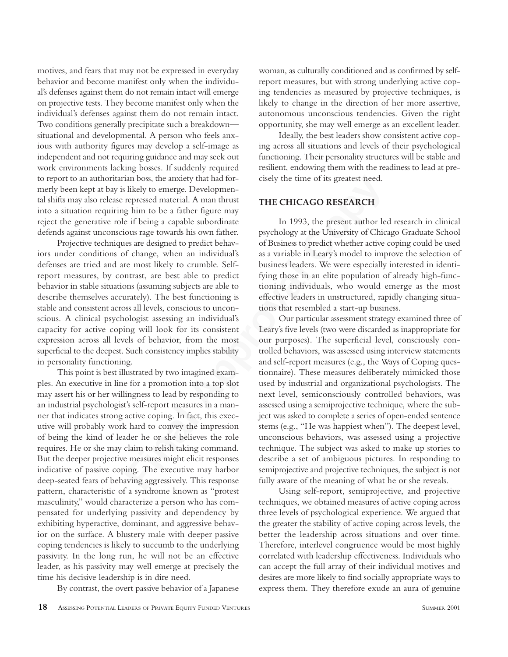motives, and fears that may not be expressed in everyday behavior and become manifest only when the individual's defenses against them do not remain intact will emerge on projective tests. They become manifest only when the individual's defenses against them do not remain intact. Two conditions generally precipitate such a breakdown situational and developmental. A person who feels anxious with authority figures may develop a self-image as independent and not requiring guidance and may seek out work environments lacking bosses. If suddenly required to report to an authoritarian boss, the anxiety that had formerly been kept at bay is likely to emerge. Developmental shifts may also release repressed material. A man thrust into a situation requiring him to be a father figure may reject the generative role if being a capable subordinate defends against unconscious rage towards his own father.

Projective techniques are designed to predict behaviors under conditions of change, when an individual's defenses are tried and are most likely to crumble. Selfreport measures, by contrast, are best able to predict behavior in stable situations (assuming subjects are able to describe themselves accurately). The best functioning is stable and consistent across all levels, conscious to unconscious. A clinical psychologist assessing an individual's capacity for active coping will look for its consistent expression across all levels of behavior, from the most superficial to the deepest. Such consistency implies stability in personality functioning.

This point is best illustrated by two imagined examples. An executive in line for a promotion into a top slot may assert his or her willingness to lead by responding to an industrial psychologist's self-report measures in a manner that indicates strong active coping. In fact, this executive will probably work hard to convey the impression of being the kind of leader he or she believes the role requires. He or she may claim to relish taking command. But the deeper projective measures might elicit responses indicative of passive coping. The executive may harbor deep-seated fears of behaving aggressively. This response pattern, characteristic of a syndrome known as "protest masculinity," would characterize a person who has compensated for underlying passivity and dependency by exhibiting hyperactive, dominant, and aggressive behavior on the surface. A blustery male with deeper passive coping tendencies is likely to succumb to the underlying passivity. In the long run, he will not be an effective leader, as his passivity may well emerge at precisely the time his decisive leadership is in dire need.

By contrast, the overt passive behavior of a Japanese

woman, as culturally conditioned and as confirmed by selfreport measures, but with strong underlying active coping tendencies as measured by projective techniques, is likely to change in the direction of her more assertive, autonomous unconscious tendencies. Given the right opportunity, she may well emerge as an excellent leader.

Ideally, the best leaders show consistent active coping across all situations and levels of their psychological functioning. Their personality structures will be stable and resilient, endowing them with the readiness to lead at precisely the time of its greatest need.

#### **THE CHICAGO RESEARCH**

In 1993, the present author led research in clinical psychology at the University of Chicago Graduate School of Business to predict whether active coping could be used as a variable in Leary's model to improve the selection of business leaders. We were especially interested in identifying those in an elite population of already high-functioning individuals, who would emerge as the most effective leaders in unstructured, rapidly changing situations that resembled a start-up business.

ian boss, the ambieny that had formation in cisely the time of its greatest need.<br>
Sikely to emerge. Development<br>
repressed material. A man thrust **THE CHICAGO RESEARCH**<br>
g him to be a father figure may<br> **FINE CHICAGO RESE** Our particular assessment strategy examined three of Leary's five levels (two were discarded as inappropriate for our purposes). The superficial level, consciously controlled behaviors, was assessed using interview statements and self-report measures (e.g., the Ways of Coping questionnaire). These measures deliberately mimicked those used by industrial and organizational psychologists. The next level, semiconsciously controlled behaviors, was assessed using a semiprojective technique, where the subject was asked to complete a series of open-ended sentence stems (e.g., "He was happiest when"). The deepest level, unconscious behaviors, was assessed using a projective technique. The subject was asked to make up stories to describe a set of ambiguous pictures. In responding to semiprojective and projective techniques, the subject is not fully aware of the meaning of what he or she reveals.

Using self-report, semiprojective, and projective techniques, we obtained measures of active coping across three levels of psychological experience. We argued that the greater the stability of active coping across levels, the better the leadership across situations and over time. Therefore, interlevel congruence would be most highly correlated with leadership effectiveness. Individuals who can accept the full array of their individual motives and desires are more likely to find socially appropriate ways to express them. They therefore exude an aura of genuine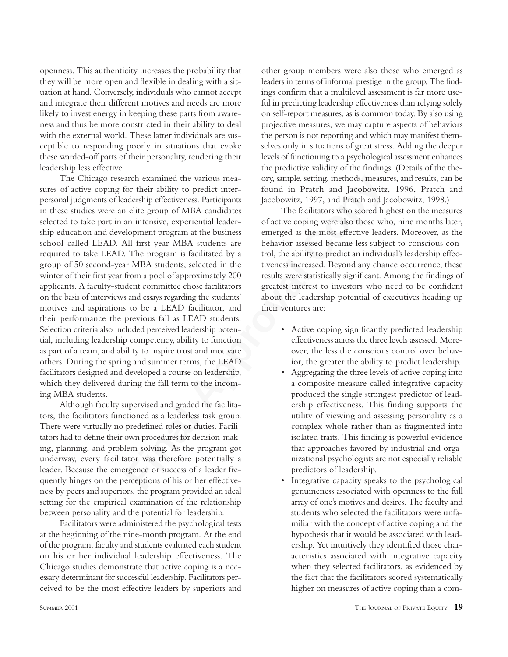openness. This authenticity increases the probability that they will be more open and flexible in dealing with a situation at hand. Conversely, individuals who cannot accept and integrate their different motives and needs are more likely to invest energy in keeping these parts from awareness and thus be more constricted in their ability to deal with the external world. These latter individuals are susceptible to responding poorly in situations that evoke these warded-off parts of their personality, rendering their leadership less effective.

arch examined the various measure ory, sample, setting, methods, measure for their ability to predict inter-<br>for their ability of predict inter-<br>and Jacobowitz, 1997, and Patch and Jacobowitz detersing of MBA candidates<br>
a The Chicago research examined the various measures of active coping for their ability to predict interpersonal judgments of leadership effectiveness. Participants in these studies were an elite group of MBA candidates selected to take part in an intensive, experiential leadership education and development program at the business school called LEAD. All first-year MBA students are required to take LEAD. The program is facilitated by a group of 50 second-year MBA students, selected in the winter of their first year from a pool of approximately 200 applicants. A faculty-student committee chose facilitators on the basis of interviews and essays regarding the students' motives and aspirations to be a LEAD facilitator, and their performance the previous fall as LEAD students. Selection criteria also included perceived leadership potential, including leadership competency, ability to function as part of a team, and ability to inspire trust and motivate others. During the spring and summer terms, the LEAD facilitators designed and developed a course on leadership, which they delivered during the fall term to the incoming MBA students.

Although faculty supervised and graded the facilitators, the facilitators functioned as a leaderless task group. There were virtually no predefined roles or duties. Facilitators had to define their own procedures for decision-making, planning, and problem-solving. As the program got underway, every facilitator was therefore potentially a leader. Because the emergence or success of a leader frequently hinges on the perceptions of his or her effectiveness by peers and superiors, the program provided an ideal setting for the empirical examination of the relationship between personality and the potential for leadership.

Facilitators were administered the psychological tests at the beginning of the nine-month program. At the end of the program, faculty and students evaluated each student on his or her individual leadership effectiveness. The Chicago studies demonstrate that active coping is a necessary determinant for successful leadership. Facilitators perceived to be the most effective leaders by superiors and

other group members were also those who emerged as leaders in terms of informal prestige in the group. The findings confirm that a multilevel assessment is far more useful in predicting leadership effectiveness than relying solely on self-report measures, as is common today. By also using projective measures, we may capture aspects of behaviors the person is not reporting and which may manifest themselves only in situations of great stress. Adding the deeper levels of functioning to a psychological assessment enhances the predictive validity of the findings. (Details of the theory, sample, setting, methods, measures, and results, can be found in Pratch and Jacobowitz, 1996, Pratch and Jacobowitz, 1997, and Pratch and Jacobowitz, 1998.)

The facilitators who scored highest on the measures of active coping were also those who, nine months later, emerged as the most effective leaders. Moreover, as the behavior assessed became less subject to conscious control, the ability to predict an individual's leadership effectiveness increased. Beyond any chance occurrence, these results were statistically significant. Among the findings of greatest interest to investors who need to be confident about the leadership potential of executives heading up their ventures are:

- Active coping significantly predicted leadership effectiveness across the three levels assessed. Moreover, the less the conscious control over behavior, the greater the ability to predict leadership.
- Aggregating the three levels of active coping into a composite measure called integrative capacity produced the single strongest predictor of leadership effectiveness. This finding supports the utility of viewing and assessing personality as a complex whole rather than as fragmented into isolated traits. This finding is powerful evidence that approaches favored by industrial and organizational psychologists are not especially reliable predictors of leadership.
- Integrative capacity speaks to the psychological genuineness associated with openness to the full array of one's motives and desires. The faculty and students who selected the facilitators were unfamiliar with the concept of active coping and the hypothesis that it would be associated with leadership. Yet intuitively they identified those characteristics associated with integrative capacity when they selected facilitators, as evidenced by the fact that the facilitators scored systematically higher on measures of active coping than a com-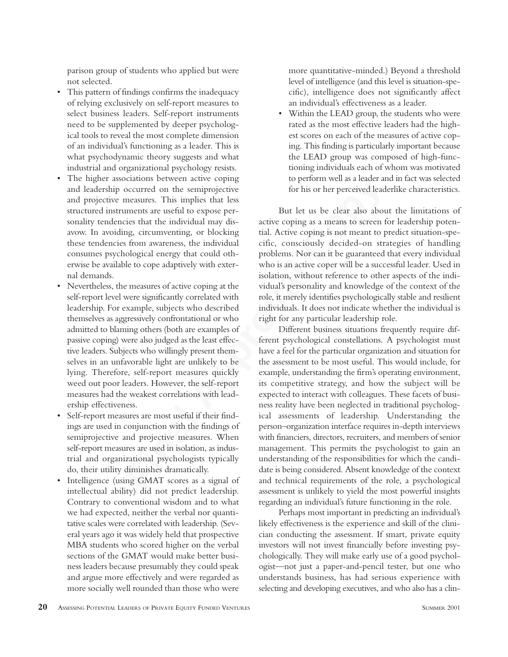parison group of students who applied but were not selected.

- This pattern of findings confirms the inadequacy of relying exclusively on self-report measures to select business leaders. Self-report instruments need to be supplemented by deeper psychological tools to reveal the most complete dimension of an individual's functioning as a leader. This is what psychodynamic theory suggests and what industrial and organizational psychology resists.
- The higher associations between active coping and leadership occurred on the semiprojective and projective measures. This implies that less structured instruments are useful to expose personality tendencies that the individual may disavow. In avoiding, circumventing, or blocking these tendencies from awareness, the individual consumes psychological energy that could otherwise be available to cope adaptively with external demands.
- Nevertheless, the measures of active coping at the self-report level were significantly correlated with leadership. For example, subjects who described themselves as aggressively confrontational or who admitted to blaming others (both are examples of passive coping) were also judged as the least effective leaders. Subjects who willingly present themselves in an unfavorable light are unlikely to be lying. Therefore, self-report measures quickly weed out poor leaders. However, the self-report measures had the weakest correlations with leadership effectiveness.
- Self-report measures are most useful if their findings are used in conjunction with the findings of semiprojective and projective measures. When self-report measures are used in isolation, as industrial and organizational psychologists typically do, their utility diminishes dramatically.
- Intelligence (using GMAT scores as a signal of intellectual ability) did not predict leadership. Contrary to conventional wisdom and to what we had expected, neither the verbal nor quantitative scales were correlated with leadership. (Several years ago it was widely held that prospective MBA students who scored higher on the verbal sections of the GMAT would make better business leaders because presumably they could speak and argue more effectively and were regarded as more socially well rounded than those who were

more quantitative-minded.) Beyond a threshold level of intelligence (and this level is situation-specific), intelligence does not significantly affect an individual's effectiveness as a leader.

Within the LEAD group, the students who were rated as the most effective leaders had the highest scores on each of the measures of active coping. This finding is particularly important because the LEAD group was composed of high-functioning individuals each of whom was motivated to perform well as a leader and in fact was selected for his or her perceived leaderlike characteristics.

But let us be clear also about the limitations of active coping as a means to screen for leadership potential. Active coping is not meant to predict situation-specific, consciously decided-on strategies of handling problems. Nor can it be guaranteed that every individual who is an active coper will be a successful leader. Used in isolation, without reference to other aspects of the individual's personality and knowledge of the context of the role, it merely identifies psychologically stable and resilient individuals. It does not indicate whether the individual is right for any particular leadership role.

coiations between active coping<br>
for perform well as a leader ane<br>
occurred on the semiprojective<br>
measures. This implies that less<br>
measures are useful to expose per-<br>
Fig. that the individual may dis-<br>
are the individual Different business situations frequently require different psychological constellations. A psychologist must have a feel for the particular organization and situation for the assessment to be most useful. This would include, for example, understanding the firm's operating environment, its competitive strategy, and how the subject will be expected to interact with colleagues. These facets of business reality have been neglected in traditional psychological assessments of leadership. Understanding the person–organization interface requires in-depth interviews with financiers, directors, recruiters, and members of senior management. This permits the psychologist to gain an understanding of the responsibilities for which the candidate is being considered. Absent knowledge of the context and technical requirements of the role, a psychological assessment is unlikely to yield the most powerful insights regarding an individual's future functioning in the role.

> Perhaps most important in predicting an individual's likely effectiveness is the experience and skill of the clinician conducting the assessment. If smart, private equity investors will not invest financially before investing psychologically. They will make early use of a good psychologist—not just a paper-and-pencil tester, but one who understands business, has had serious experience with selecting and developing executives, and who also has a clin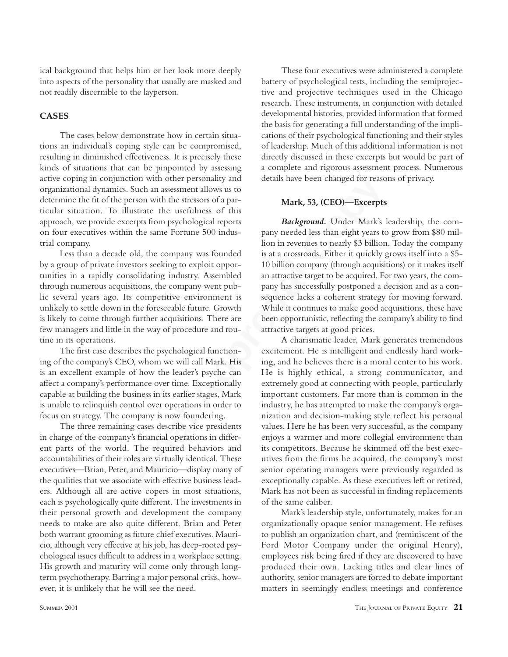ical background that helps him or her look more deeply into aspects of the personality that usually are masked and not readily discernible to the layperson.

#### **CASES**

The cases below demonstrate how in certain situations an individual's coping style can be compromised, resulting in diminished effectiveness. It is precisely these kinds of situations that can be pinpointed by assessing active coping in conjunction with other personality and organizational dynamics. Such an assessment allows us to determine the fit of the person with the stressors of a particular situation. To illustrate the usefulness of this approach, we provide excerpts from psychological reports on four executives within the same Fortune 500 industrial company.

Less than a decade old, the company was founded by a group of private investors seeking to exploit opportunities in a rapidly consolidating industry. Assembled through numerous acquisitions, the company went public several years ago. Its competitive environment is unlikely to settle down in the foreseeable future. Growth is likely to come through further acquisitions. There are few managers and little in the way of procedure and routine in its operations.

The first case describes the psychological functioning of the company's CEO, whom we will call Mark. His is an excellent example of how the leader's psyche can affect a company's performance over time. Exceptionally capable at building the business in its earlier stages, Mark is unable to relinquish control over operations in order to focus on strategy. The company is now foundering.

The three remaining cases describe vice presidents in charge of the company's financial operations in different parts of the world. The required behaviors and accountabilities of their roles are virtually identical. These executives—Brian, Peter, and Mauricio—display many of the qualities that we associate with effective business leaders. Although all are active copers in most situations, each is psychologically quite different. The investments in their personal growth and development the company needs to make are also quite different. Brian and Peter both warrant grooming as future chief executives. Mauricio, although very effective at his job, has deep-rooted psychological issues difficult to address in a workplace setting. His growth and maturity will come only through longterm psychotherapy. Barring a major personal crisis, however, it is unlikely that he will see the need.

These four executives were administered a complete battery of psychological tests, including the semiprojective and projective techniques used in the Chicago research. These instruments, in conjunction with detailed developmental histories, provided information that formed the basis for generating a full understanding of the implications of their psychological functioning and their styles of leadership. Much of this additional information is not directly discussed in these excerpts but would be part of a complete and rigorous assessment process. Numerous details have been changed for reasons of privacy.

#### **Mark, 53, (CEO)—Excerpts**

*Background.* Under Mark's leadership, the company needed less than eight years to grow from \$80 million in revenues to nearly \$3 billion. Today the company is at a crossroads. Either it quickly grows itself into a \$5- 10 billion company (through acquisitions) or it makes itself an attractive target to be acquired. For two years, the company has successfully postponed a decision and as a consequence lacks a coherent strategy for moving forward. While it continues to make good acquisitions, these have been opportunistic, reflecting the company's ability to find attractive targets at good prices.

chassis and details have been changed for reason<br>
So. Such an assessment allows us to the difference person with the stressors of a par-<br>
Pisarcate the usefulness of this<br>
methodogical reprosesy for para-<br>
Illustrate the u A charismatic leader, Mark generates tremendous excitement. He is intelligent and endlessly hard working, and he believes there is a moral center to his work. He is highly ethical, a strong communicator, and extremely good at connecting with people, particularly important customers. Far more than is common in the industry, he has attempted to make the company's organization and decision-making style reflect his personal values. Here he has been very successful, as the company enjoys a warmer and more collegial environment than its competitors. Because he skimmed off the best executives from the firms he acquired, the company's most senior operating managers were previously regarded as exceptionally capable. As these executives left or retired, Mark has not been as successful in finding replacements of the same caliber.

> Mark's leadership style, unfortunately, makes for an organizationally opaque senior management. He refuses to publish an organization chart, and (reminiscent of the Ford Motor Company under the original Henry), employees risk being fired if they are discovered to have produced their own. Lacking titles and clear lines of authority, senior managers are forced to debate important matters in seemingly endless meetings and conference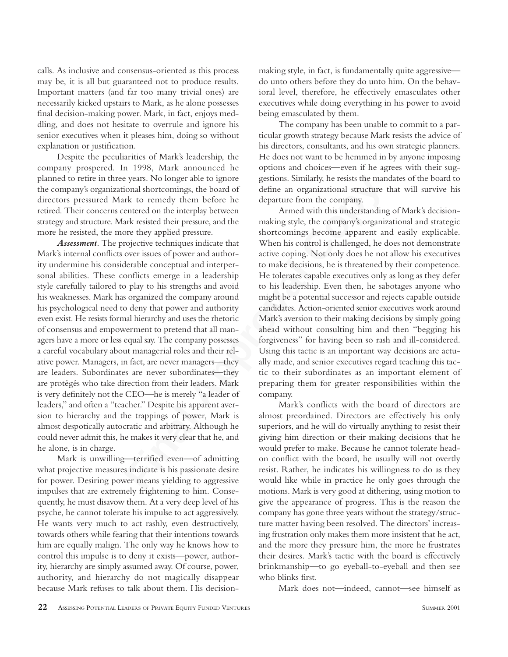calls. As inclusive and consensus-oriented as this process may be, it is all but guaranteed not to produce results. Important matters (and far too many trivial ones) are necessarily kicked upstairs to Mark, as he alone possesses final decision-making power. Mark, in fact, enjoys meddling, and does not hesitate to overrule and ignore his senior executives when it pleases him, doing so without explanation or justification.

Despite the peculiarities of Mark's leadership, the company prospered. In 1998, Mark announced he planned to retire in three years. No longer able to ignore the company's organizational shortcomings, the board of directors pressured Mark to remedy them before he retired. Their concerns centered on the interplay between strategy and structure. Mark resisted their pressure, and the more he resisted, the more they applied pressure.

*Assessment*. The projective techniques indicate that Mark's internal conflicts over issues of power and authority undermine his considerable conceptual and interpersonal abilities. These conflicts emerge in a leadership style carefully tailored to play to his strengths and avoid his weaknesses. Mark has organized the company around his psychological need to deny that power and authority even exist. He resists formal hierarchy and uses the rhetoric of consensus and empowerment to pretend that all managers have a more or less equal say. The company possesses a careful vocabulary about managerial roles and their relative power. Managers, in fact, are never managers—they are leaders. Subordinates are never subordinates—they are protégés who take direction from their leaders. Mark is very definitely not the CEO—he is merely "a leader of leaders," and often a "teacher." Despite his apparent aversion to hierarchy and the trappings of power, Mark is almost despotically autocratic and arbitrary. Although he could never admit this, he makes it very clear that he, and he alone, is in charge.

Mark is unwilling—terrified even—of admitting what projective measures indicate is his passionate desire for power. Desiring power means yielding to aggressive impulses that are extremely frightening to him. Consequently, he must disavow them. At a very deep level of his psyche, he cannot tolerate his impulse to act aggressively. He wants very much to act rashly, even destructively, towards others while fearing that their intentions towards him are equally malign. The only way he knows how to control this impulse is to deny it exists—power, authority, hierarchy are simply assumed away. Of course, power, authority, and hierarchy do not magically disappear because Mark refuses to talk about them. His decisionmaking style, in fact, is fundamentally quite aggressive do unto others before they do unto him. On the behavioral level, therefore, he effectively emasculates other executives while doing everything in his power to avoid being emasculated by them.

The company has been unable to commit to a particular growth strategy because Mark resists the advice of his directors, consultants, and his own strategic planners. He does not want to be hemmed in by anyone imposing options and choices—even if he agrees with their suggestions. Similarly, he resists the mandates of the board to define an organizational structure that will survive his departure from the company.

is years. No longer able to ignore<br>
gestions. Similarly, he resists the manomizational shortcomings, the board of define an organizational structure is<br>
the to remedy density the board of define an organizational structure Armed with this understanding of Mark's decisionmaking style, the company's organizational and strategic shortcomings become apparent and easily explicable. When his control is challenged, he does not demonstrate active coping. Not only does he not allow his executives to make decisions, he is threatened by their competence. He tolerates capable executives only as long as they defer to his leadership. Even then, he sabotages anyone who might be a potential successor and rejects capable outside candidates. Action-oriented senior executives work around Mark's aversion to their making decisions by simply going ahead without consulting him and then "begging his forgiveness" for having been so rash and ill-considered. Using this tactic is an important way decisions are actually made, and senior executives regard teaching this tactic to their subordinates as an important element of preparing them for greater responsibilities within the company.

Mark's conflicts with the board of directors are almost preordained. Directors are effectively his only superiors, and he will do virtually anything to resist their giving him direction or their making decisions that he would prefer to make. Because he cannot tolerate headon conflict with the board, he usually will not overtly resist. Rather, he indicates his willingness to do as they would like while in practice he only goes through the motions. Mark is very good at dithering, using motion to give the appearance of progress. This is the reason the company has gone three years without the strategy/structure matter having been resolved. The directors' increasing frustration only makes them more insistent that he act, and the more they pressure him, the more he frustrates their desires. Mark's tactic with the board is effectively brinkmanship—to go eyeball-to-eyeball and then see who blinks first.

Mark does not—indeed, cannot—see himself as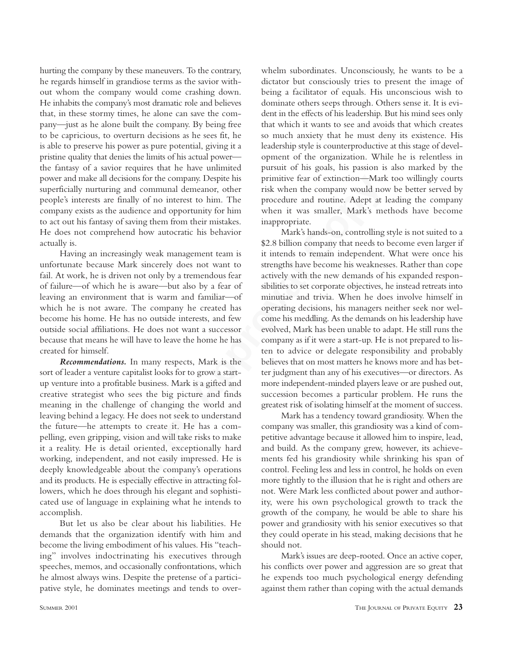hurting the company by these maneuvers. To the contrary, he regards himself in grandiose terms as the savior without whom the company would come crashing down. He inhabits the company's most dramatic role and believes that, in these stormy times, he alone can save the company—just as he alone built the company. By being free to be capricious, to overturn decisions as he sees fit, he is able to preserve his power as pure potential, giving it a pristine quality that denies the limits of his actual power the fantasy of a savior requires that he have unlimited power and make all decisions for the company. Despite his superficially nurturing and communal demeanor, other people's interests are finally of no interest to him. The company exists as the audience and opportunity for him to act out his fantasy of saving them from their mistakes. He does not comprehend how autocratic his behavior actually is.

Having an increasingly weak management team is unfortunate because Mark sincerely does not want to fail. At work, he is driven not only by a tremendous fear of failure—of which he is aware—but also by a fear of leaving an environment that is warm and familiar—of which he is not aware. The company he created has become his home. He has no outside interests, and few outside social affiliations. He does not want a successor because that means he will have to leave the home he has created for himself.

*Recommendations.* In many respects, Mark is the sort of leader a venture capitalist looks for to grow a startup venture into a profitable business. Mark is a gifted and creative strategist who sees the big picture and finds meaning in the challenge of changing the world and leaving behind a legacy. He does not seek to understand the future—he attempts to create it. He has a compelling, even gripping, vision and will take risks to make it a reality. He is detail oriented, exceptionally hard working, independent, and not easily impressed. He is deeply knowledgeable about the company's operations and its products. He is especially effective in attracting followers, which he does through his elegant and sophisticated use of language in explaining what he intends to accomplish.

But let us also be clear about his liabilities. He demands that the organization identify with him and become the living embodiment of his values. His "teaching" involves indoctrinating his executives through speeches, memos, and occasionally confrontations, which he almost always wins. Despite the pretense of a participative style, he dominates meetings and tends to overwhelm subordinates. Unconsciously, he wants to be a dictator but consciously tries to present the image of being a facilitator of equals. His unconscious wish to dominate others seeps through. Others sense it. It is evident in the effects of his leadership. But his mind sees only that which it wants to see and avoids that which creates so much anxiety that he must deny its existence. His leadership style is counterproductive at this stage of development of the organization. While he is relentless in pursuit of his goals, his passion is also marked by the primitive fear of extinction—Mark too willingly courts risk when the company would now be better served by procedure and routine. Adept at leading the company when it was smaller, Mark's methods have become inappropriate.

sions for the company. Despite his primitive fear of extinction—Mark<br>and communal deneanor, other risk when the company would now<br>and alternation, then the sine and compare and opportunity for him<br>when it was smaller, Mark Mark's hands-on, controlling style is not suited to a \$2.8 billion company that needs to become even larger if it intends to remain independent. What were once his strengths have become his weaknesses. Rather than cope actively with the new demands of his expanded responsibilities to set corporate objectives, he instead retreats into minutiae and trivia. When he does involve himself in operating decisions, his managers neither seek nor welcome his meddling. As the demands on his leadership have evolved, Mark has been unable to adapt. He still runs the company as if it were a start-up. He is not prepared to listen to advice or delegate responsibility and probably believes that on most matters he knows more and has better judgment than any of his executives—or directors. As more independent-minded players leave or are pushed out, succession becomes a particular problem. He runs the greatest risk of isolating himself at the moment of success.

Mark has a tendency toward grandiosity. When the company was smaller, this grandiosity was a kind of competitive advantage because it allowed him to inspire, lead, and build. As the company grew, however, its achievements fed his grandiosity while shrinking his span of control. Feeling less and less in control, he holds on even more tightly to the illusion that he is right and others are not. Were Mark less conflicted about power and authority, were his own psychological growth to track the growth of the company, he would be able to share his power and grandiosity with his senior executives so that they could operate in his stead, making decisions that he should not.

Mark's issues are deep-rooted. Once an active coper, his conflicts over power and aggression are so great that he expends too much psychological energy defending against them rather than coping with the actual demands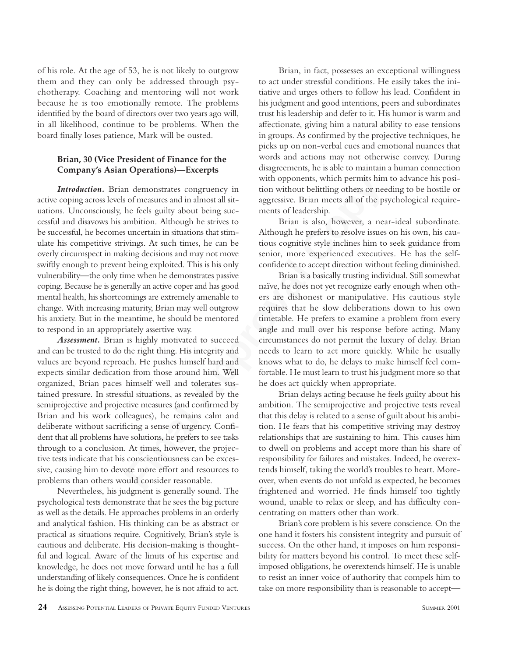of his role. At the age of 53, he is not likely to outgrow them and they can only be addressed through psychotherapy. Coaching and mentoring will not work because he is too emotionally remote. The problems identified by the board of directors over two years ago will, in all likelihood, continue to be problems. When the board finally loses patience, Mark will be ousted.

## **Brian, 30 (Vice President of Finance for the Company's Asian Operations)—Excerpts**

*Introduction.* Brian demonstrates congruency in active coping across levels of measures and in almost all situations. Unconsciously, he feels guilty about being successful and disavows his ambition. Although he strives to be successful, he becomes uncertain in situations that stimulate his competitive strivings. At such times, he can be overly circumspect in making decisions and may not move swiftly enough to prevent being exploited. This is his only vulnerability—the only time when he demonstrates passive coping. Because he is generally an active coper and has good mental health, his shortcomings are extremely amenable to change. With increasing maturity, Brian may well outgrow his anxiety. But in the meantime, he should be mentored to respond in an appropriately assertive way.

with opponents, which permits him<br>an demonstrates congruency in<br>units him<br>and the system is the system and the system and the system of the system and<br>a summation. Although he strives to meet some summation and the system *Assessment.* Brian is highly motivated to succeed and can be trusted to do the right thing. His integrity and values are beyond reproach. He pushes himself hard and expects similar dedication from those around him. Well organized, Brian paces himself well and tolerates sustained pressure. In stressful situations, as revealed by the semiprojective and projective measures (and confirmed by Brian and his work colleagues), he remains calm and deliberate without sacrificing a sense of urgency. Confident that all problems have solutions, he prefers to see tasks through to a conclusion. At times, however, the projective tests indicate that his conscientiousness can be excessive, causing him to devote more effort and resources to problems than others would consider reasonable.

Nevertheless, his judgment is generally sound. The psychological tests demonstrate that he sees the big picture as well as the details. He approaches problems in an orderly and analytical fashion. His thinking can be as abstract or practical as situations require. Cognitively, Brian's style is cautious and deliberate. His decision-making is thoughtful and logical. Aware of the limits of his expertise and knowledge, he does not move forward until he has a full understanding of likely consequences. Once he is confident he is doing the right thing, however, he is not afraid to act.

Brian, in fact, possesses an exceptional willingness to act under stressful conditions. He easily takes the initiative and urges others to follow his lead. Confident in his judgment and good intentions, peers and subordinates trust his leadership and defer to it. His humor is warm and affectionate, giving him a natural ability to ease tensions in groups. As confirmed by the projective techniques, he picks up on non-verbal cues and emotional nuances that words and actions may not otherwise convey. During disagreements, he is able to maintain a human connection with opponents, which permits him to advance his position without belittling others or needing to be hostile or aggressive. Brian meets all of the psychological requirements of leadership.

Brian is also, however, a near-ideal subordinate. Although he prefers to resolve issues on his own, his cautious cognitive style inclines him to seek guidance from senior, more experienced executives. He has the selfconfidence to accept direction without feeling diminished.

Brian is a basically trusting individual. Still somewhat naïve, he does not yet recognize early enough when others are dishonest or manipulative. His cautious style requires that he slow deliberations down to his own timetable. He prefers to examine a problem from every angle and mull over his response before acting. Many circumstances do not permit the luxury of delay. Brian needs to learn to act more quickly. While he usually knows what to do, he delays to make himself feel comfortable. He must learn to trust his judgment more so that he does act quickly when appropriate.

Brian delays acting because he feels guilty about his ambition. The semiprojective and projective tests reveal that this delay is related to a sense of guilt about his ambition. He fears that his competitive striving may destroy relationships that are sustaining to him. This causes him to dwell on problems and accept more than his share of responsibility for failures and mistakes. Indeed, he overextends himself, taking the world's troubles to heart. Moreover, when events do not unfold as expected, he becomes frightened and worried. He finds himself too tightly wound, unable to relax or sleep, and has difficulty concentrating on matters other than work.

Brian's core problem is his severe conscience. On the one hand it fosters his consistent integrity and pursuit of success. On the other hand, it imposes on him responsibility for matters beyond his control. To meet these selfimposed obligations, he overextends himself. He is unable to resist an inner voice of authority that compels him to take on more responsibility than is reasonable to accept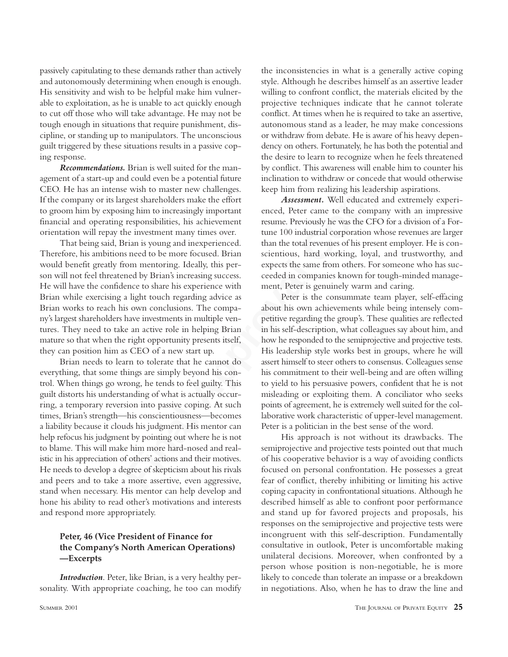passively capitulating to these demands rather than actively and autonomously determining when enough is enough. His sensitivity and wish to be helpful make him vulnerable to exploitation, as he is unable to act quickly enough to cut off those who will take advantage. He may not be tough enough in situations that require punishment, discipline, or standing up to manipulators. The unconscious guilt triggered by these situations results in a passive coping response.

*Recommendations.* Brian is well suited for the management of a start-up and could even be a potential future CEO. He has an intense wish to master new challenges. If the company or its largest shareholders make the effort to groom him by exposing him to increasingly important financial and operating responsibilities, his achievement orientation will repay the investment many times over.

That being said, Brian is young and inexperienced. Therefore, his ambitions need to be more focused. Brian would benefit greatly from mentoring. Ideally, this person will not feel threatened by Brian's increasing success. He will have the confidence to share his experience with Brian while exercising a light touch regarding advice as Brian works to reach his own conclusions. The company's largest shareholders have investments in multiple ventures. They need to take an active role in helping Brian mature so that when the right opportunity presents itself, they can position him as CEO of a new start up.

Brian needs to learn to tolerate that he cannot do everything, that some things are simply beyond his control. When things go wrong, he tends to feel guilty. This guilt distorts his understanding of what is actually occurring, a temporary reversion into passive coping. At such times, Brian's strength—his conscientiousness—becomes a liability because it clouds his judgment. His mentor can help refocus his judgment by pointing out where he is not to blame. This will make him more hard-nosed and realistic in his appreciation of others' actions and their motives. He needs to develop a degree of skepticism about his rivals and peers and to take a more assertive, even aggressive, stand when necessary. His mentor can help develop and hone his ability to read other's motivations and interests and respond more appropriately.

# **Peter, 46 (Vice President of Finance for the Company's North American Operations) —Excerpts**

*Introduction*. Peter, like Brian, is a very healthy personality. With appropriate coaching, he too can modify the inconsistencies in what is a generally active coping style. Although he describes himself as an assertive leader willing to confront conflict, the materials elicited by the projective techniques indicate that he cannot tolerate conflict. At times when he is required to take an assertive, autonomous stand as a leader, he may make concessions or withdraw from debate. He is aware of his heavy dependency on others. Fortunately, he has both the potential and the desire to learn to recognize when he feels threatened by conflict. This awareness will enable him to counter his inclination to withdraw or concede that would otherwise keep him from realizing his leadership aspirations.

*Assessment.* Well educated and extremely experienced, Peter came to the company with an impressive resume. Previously he was the CFO for a division of a Fortune 100 industrial corporation whose revenues are larger than the total revenues of his present employer. He is conscientious, hard working, loyal, and trustworthy, and expects the same from others. For someone who has succeeded in companies known for tough-minded management, Peter is genuinely warm and caring.

d could even be a potential future<br>
inclination to withdraw or concedet<br>
event in to innear new challenges. <br>
Reep him for mealizing his leadershis<br>
ergest shareholders make the effort<br>
encessingly important<br>
enced, Peter Peter is the consummate team player, self-effacing about his own achievements while being intensely competitive regarding the group's. These qualities are reflected in his self-description, what colleagues say about him, and how he responded to the semiprojective and projective tests. His leadership style works best in groups, where he will assert himself to steer others to consensus. Colleagues sense his commitment to their well-being and are often willing to yield to his persuasive powers, confident that he is not misleading or exploiting them. A conciliator who seeks points of agreement, he is extremely well suited for the collaborative work characteristic of upper-level management. Peter is a politician in the best sense of the word.

His approach is not without its drawbacks. The semiprojective and projective tests pointed out that much of his cooperative behavior is a way of avoiding conflicts focused on personal confrontation. He possesses a great fear of conflict, thereby inhibiting or limiting his active coping capacity in confrontational situations. Although he described himself as able to confront poor performance and stand up for favored projects and proposals, his responses on the semiprojective and projective tests were incongruent with this self-description. Fundamentally consultative in outlook, Peter is uncomfortable making unilateral decisions. Moreover, when confronted by a person whose position is non-negotiable, he is more likely to concede than tolerate an impasse or a breakdown in negotiations. Also, when he has to draw the line and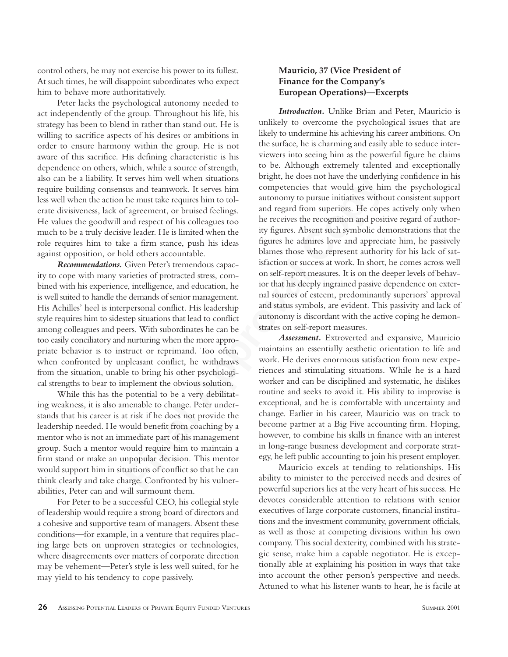control others, he may not exercise his power to its fullest. At such times, he will disappoint subordinates who expect him to behave more authoritatively.

Peter lacks the psychological autonomy needed to act independently of the group. Throughout his life, his strategy has been to blend in rather than stand out. He is willing to sacrifice aspects of his desires or ambitions in order to ensure harmony within the group. He is not aware of this sacrifice. His defining characteristic is his dependence on others, which, while a source of strength, also can be a liability. It serves him well when situations require building consensus and teamwork. It serves him less well when the action he must take requires him to tolerate divisiveness, lack of agreement, or bruised feelings. He values the goodwill and respect of his colleagues too much to be a truly decisive leader. He is limited when the role requires him to take a firm stance, push his ideas against opposition, or hold others accountable.

*Recommendations.* Given Peter's tremendous capacity to cope with many varieties of protracted stress, combined with his experience, intelligence, and education, he is well suited to handle the demands of senior management. His Achilles' heel is interpersonal conflict. His leadership style requires him to sidestep situations that lead to conflict among colleagues and peers. With subordinates he can be too easily conciliatory and nurturing when the more appropriate behavior is to instruct or reprimand. Too often, when confronted by unpleasant conflict, he withdraws from the situation, unable to bring his other psychological strengths to bear to implement the obvious solution.

While this has the potential to be a very debilitating weakness, it is also amenable to change. Peter understands that his career is at risk if he does not provide the leadership needed. He would benefit from coaching by a mentor who is not an immediate part of his management group. Such a mentor would require him to maintain a firm stand or make an unpopular decision. This mentor would support him in situations of conflict so that he can think clearly and take charge. Confronted by his vulnerabilities, Peter can and will surmount them.

For Peter to be a successful CEO, his collegial style of leadership would require a strong board of directors and a cohesive and supportive team of managers. Absent these conditions—for example, in a venture that requires placing large bets on unproven strategies or technologies, where disagreements over matters of corporate direction may be vehement—Peter's style is less well suited, for he may yield to his tendency to cope passively.

# **Mauricio, 37 (Vice President of Finance for the Company's European Operations)—Excerpts**

serves him well when situations<br> **Final Computerions** from doces not have the underlyinal sus and team<br>
and team of the smut take requires him could derive him competencies that would give him<br>
the must take requires him t *Introduction.* Unlike Brian and Peter, Mauricio is unlikely to overcome the psychological issues that are likely to undermine his achieving his career ambitions. On the surface, he is charming and easily able to seduce interviewers into seeing him as the powerful figure he claims to be. Although extremely talented and exceptionally bright, he does not have the underlying confidence in his competencies that would give him the psychological autonomy to pursue initiatives without consistent support and regard from superiors. He copes actively only when he receives the recognition and positive regard of authority figures. Absent such symbolic demonstrations that the figures he admires love and appreciate him, he passively blames those who represent authority for his lack of satisfaction or success at work. In short, he comes across well on self-report measures. It is on the deeper levels of behavior that his deeply ingrained passive dependence on external sources of esteem, predominantly superiors' approval and status symbols, are evident. This passivity and lack of autonomy is discordant with the active coping he demonstrates on self-report measures.

*Assessment.* Extroverted and expansive, Mauricio maintains an essentially aesthetic orientation to life and work. He derives enormous satisfaction from new experiences and stimulating situations. While he is a hard worker and can be disciplined and systematic, he dislikes routine and seeks to avoid it. His ability to improvise is exceptional, and he is comfortable with uncertainty and change. Earlier in his career, Mauricio was on track to become partner at a Big Five accounting firm. Hoping, however, to combine his skills in finance with an interest in long-range business development and corporate strategy, he left public accounting to join his present employer.

Mauricio excels at tending to relationships. His ability to minister to the perceived needs and desires of powerful superiors lies at the very heart of his success. He devotes considerable attention to relations with senior executives of large corporate customers, financial institutions and the investment community, government officials, as well as those at competing divisions within his own company. This social dexterity, combined with his strategic sense, make him a capable negotiator. He is exceptionally able at explaining his position in ways that take into account the other person's perspective and needs. Attuned to what his listener wants to hear, he is facile at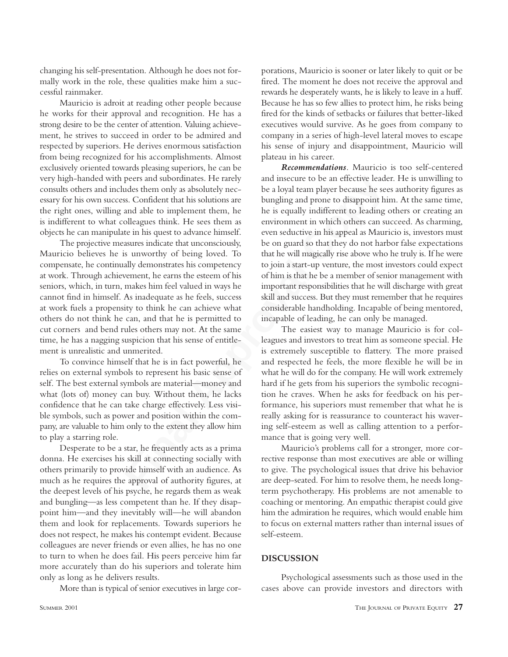changing his self-presentation. Although he does not formally work in the role, these qualities make him a successful rainmaker.

Mauricio is adroit at reading other people because he works for their approval and recognition. He has a strong desire to be the center of attention. Valuing achievement, he strives to succeed in order to be admired and respected by superiors. He derives enormous satisfaction from being recognized for his accomplishments. Almost exclusively oriented towards pleasing superiors, he can be very high-handed with peers and subordinates. He rarely consults others and includes them only as absolutely necessary for his own success. Confident that his solutions are the right ones, willing and able to implement them, he is indifferent to what colleagues think. He sees them as objects he can manipulate in his quest to advance himself.

The projective measures indicate that unconsciously, Mauricio believes he is unworthy of being loved. To compensate, he continually demonstrates his competency at work. Through achievement, he earns the esteem of his seniors, which, in turn, makes him feel valued in ways he cannot find in himself. As inadequate as he feels, success at work fuels a propensity to think he can achieve what others do not think he can, and that he is permitted to cut corners and bend rules others may not. At the same time, he has a nagging suspicion that his sense of entitlement is unrealistic and unmerited.

To convince himself that he is in fact powerful, he relies on external symbols to represent his basic sense of self. The best external symbols are material—money and what (lots of) money can buy. Without them, he lacks confidence that he can take charge effectively. Less visible symbols, such as power and position within the company, are valuable to him only to the extent they allow him to play a starring role.

Desperate to be a star, he frequently acts as a prima donna. He exercises his skill at connecting socially with others primarily to provide himself with an audience. As much as he requires the approval of authority figures, at the deepest levels of his psyche, he regards them as weak and bungling—as less competent than he. If they disappoint him—and they inevitably will—he will abandon them and look for replacements. Towards superiors he does not respect, he makes his contempt evident. Because colleagues are never friends or even allies, he has no one to turn to when he does fail. His peers perceive him far more accurately than do his superiors and tolerate him only as long as he delivers results.

More than is typical of senior executives in large cor-

porations, Mauricio is sooner or later likely to quit or be fired. The moment he does not receive the approval and rewards he desperately wants, he is likely to leave in a huff. Because he has so few allies to protect him, he risks being fired for the kinds of setbacks or failures that better-liked executives would survive. As he goes from company to company in a series of high-level lateral moves to escape his sense of injury and disappointment, Mauricio will plateau in his career.

peers and subordinates. He rarely and insecure to be an effective leade<br>des st. Confident that his solutions are be aloyed team player because he see<br>Ss. Confident that his solutions are bungling and prone to disappoint hi *Recommendations*. Mauricio is too self-centered and insecure to be an effective leader. He is unwilling to be a loyal team player because he sees authority figures as bungling and prone to disappoint him. At the same time, he is equally indifferent to leading others or creating an environment in which others can succeed. As charming, even seductive in his appeal as Mauricio is, investors must be on guard so that they do not harbor false expectations that he will magically rise above who he truly is. If he were to join a start-up venture, the most investors could expect of him is that he be a member of senior management with important responsibilities that he will discharge with great skill and success. But they must remember that he requires considerable handholding. Incapable of being mentored, incapable of leading, he can only be managed.

The easiest way to manage Mauricio is for colleagues and investors to treat him as someone special. He is extremely susceptible to flattery. The more praised and respected he feels, the more flexible he will be in what he will do for the company. He will work extremely hard if he gets from his superiors the symbolic recognition he craves. When he asks for feedback on his performance, his superiors must remember that what he is really asking for is reassurance to counteract his wavering self-esteem as well as calling attention to a performance that is going very well.

Mauricio's problems call for a stronger, more corrective response than most executives are able or willing to give. The psychological issues that drive his behavior are deep-seated. For him to resolve them, he needs longterm psychotherapy. His problems are not amenable to coaching or mentoring. An empathic therapist could give him the admiration he requires, which would enable him to focus on external matters rather than internal issues of self-esteem.

#### **DISCUSSION**

Psychological assessments such as those used in the cases above can provide investors and directors with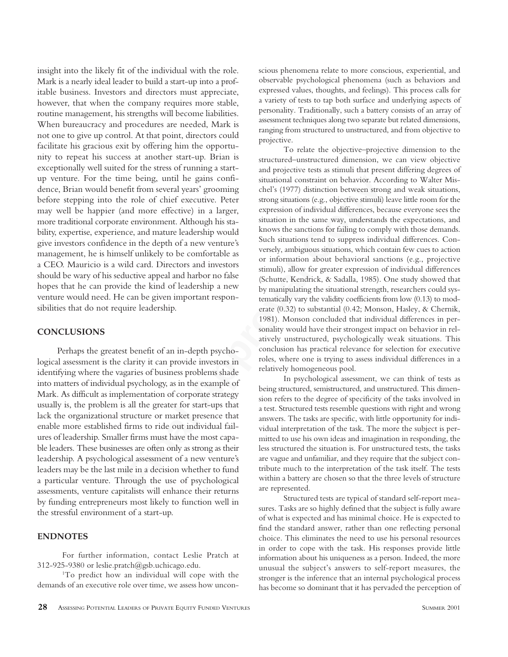insight into the likely fit of the individual with the role. Mark is a nearly ideal leader to build a start-up into a profitable business. Investors and directors must appreciate, however, that when the company requires more stable, routine management, his strengths will become liabilities. When bureaucracy and procedures are needed, Mark is not one to give up control. At that point, directors could facilitate his gracious exit by offering him the opportunity to repeat his success at another start-up. Brian is exceptionally well suited for the stress of running a startup venture. For the time being, until he gains confidence, Brian would benefit from several years' grooming before stepping into the role of chief executive. Peter may well be happier (and more effective) in a larger, more traditional corporate environment. Although his stability, expertise, experience, and mature leadership would give investors confidence in the depth of a new venture's management, he is himself unlikely to be comfortable as a CEO. Mauricio is a wild card. Directors and investors should be wary of his seductive appeal and harbor no false hopes that he can provide the kind of leadership a new venture would need. He can be given important responsibilities that do not require leadership.

#### **CONCLUSIONS**

Perhaps the greatest benefit of an in-depth psychological assessment is the clarity it can provide investors in identifying where the vagaries of business problems shade into matters of individual psychology, as in the example of Mark. As difficult as implementation of corporate strategy usually is, the problem is all the greater for start-ups that lack the organizational structure or market presence that enable more established firms to ride out individual failures of leadership. Smaller firms must have the most capable leaders. These businesses are often only as strong as their leadership. A psychological assessment of a new venture's leaders may be the last mile in a decision whether to fund a particular venture. Through the use of psychological assessments, venture capitalists will enhance their returns by funding entrepreneurs most likely to function well in the stressful environment of a start-up.

## **ENDNOTES**

For further information, contact Leslie Pratch at 312-925-9380 or leslie.pratch@gsb.uchicago.edu.

1 To predict how an individual will cope with the demands of an executive role over time, we assess how unconscious phenomena relate to more conscious, experiential, and observable psychological phenomena (such as behaviors and expressed values, thoughts, and feelings). This process calls for a variety of tests to tap both surface and underlying aspects of personality. Traditionally, such a battery consists of an array of assessment techniques along two separate but related dimensions, ranging from structured to unstructured, and from objective to projective.

The being, until he gains confi-<br>enteroional constraint on behavior. According the particular particular constraints are reached to the proposition between strong ends of the constrained in<br>the constrained more effective) To relate the objective–projective dimension to the structured–unstructured dimension, we can view objective and projective tests as stimuli that present differing degrees of situational constraint on behavior. According to Walter Mischel's (1977) distinction between strong and weak situations, strong situations (e.g., objective stimuli) leave little room for the expression of individual differences, because everyone sees the situation in the same way, understands the expectations, and knows the sanctions for failing to comply with those demands. Such situations tend to suppress individual differences. Conversely, ambiguous situations, which contain few cues to action or information about behavioral sanctions (e.g., projective stimuli), allow for greater expression of individual differences (Schutte, Kendrick, & Sadalla, 1985). One study showed that by manipulating the situational strength, researchers could systematically vary the validity coefficients from low (0.13) to moderate (0.32) to substantial (0.42; Monson, Hasley, & Chernik, 1981). Monson concluded that individual differences in personality would have their strongest impact on behavior in relatively unstructured, psychologically weak situations. This conclusion has practical relevance for selection for executive roles, where one is trying to assess individual differences in a relatively homogeneous pool.

In psychological assessment, we can think of tests as being structured, semistructured, and unstructured. This dimension refers to the degree of specificity of the tasks involved in a test. Structured tests resemble questions with right and wrong answers. The tasks are specific, with little opportunity for individual interpretation of the task. The more the subject is permitted to use his own ideas and imagination in responding, the less structured the situation is. For unstructured tests, the tasks are vague and unfamiliar, and they require that the subject contribute much to the interpretation of the task itself. The tests within a battery are chosen so that the three levels of structure are represented.

Structured tests are typical of standard self-report measures. Tasks are so highly defined that the subject is fully aware of what is expected and has minimal choice. He is expected to find the standard answer, rather than one reflecting personal choice. This eliminates the need to use his personal resources in order to cope with the task. His responses provide little information about his uniqueness as a person. Indeed, the more unusual the subject's answers to self-report measures, the stronger is the inference that an internal psychological process has become so dominant that it has pervaded the perception of